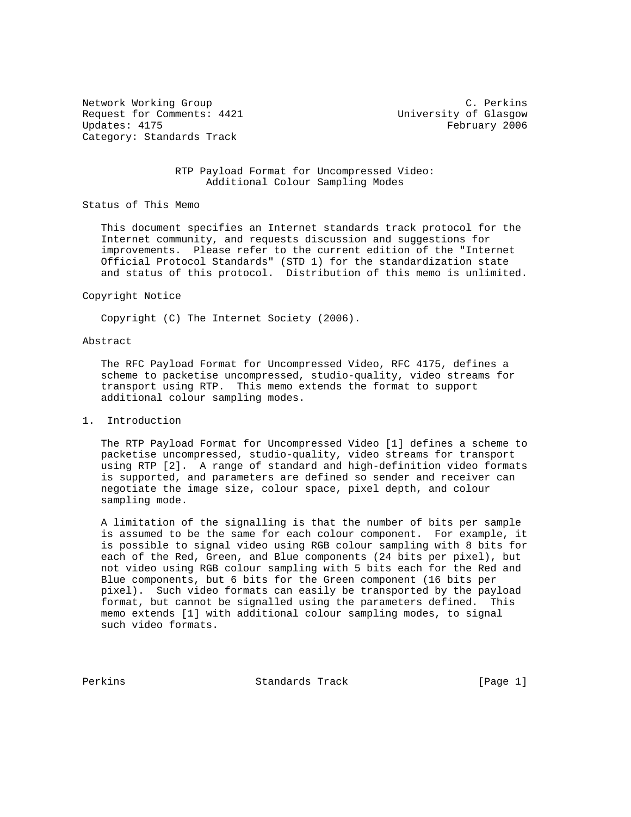Network Working Group C. Perkins Request for Comments: 4421 University of Glasgow Updates: 4175 February 2006 Category: Standards Track

# RTP Payload Format for Uncompressed Video: Additional Colour Sampling Modes

Status of This Memo

 This document specifies an Internet standards track protocol for the Internet community, and requests discussion and suggestions for improvements. Please refer to the current edition of the "Internet Official Protocol Standards" (STD 1) for the standardization state and status of this protocol. Distribution of this memo is unlimited.

#### Copyright Notice

Copyright (C) The Internet Society (2006).

## Abstract

 The RFC Payload Format for Uncompressed Video, RFC 4175, defines a scheme to packetise uncompressed, studio-quality, video streams for transport using RTP. This memo extends the format to support additional colour sampling modes.

## 1. Introduction

 The RTP Payload Format for Uncompressed Video [1] defines a scheme to packetise uncompressed, studio-quality, video streams for transport using RTP [2]. A range of standard and high-definition video formats is supported, and parameters are defined so sender and receiver can negotiate the image size, colour space, pixel depth, and colour sampling mode.

 A limitation of the signalling is that the number of bits per sample is assumed to be the same for each colour component. For example, it is possible to signal video using RGB colour sampling with 8 bits for each of the Red, Green, and Blue components (24 bits per pixel), but not video using RGB colour sampling with 5 bits each for the Red and Blue components, but 6 bits for the Green component (16 bits per pixel). Such video formats can easily be transported by the payload format, but cannot be signalled using the parameters defined. This memo extends [1] with additional colour sampling modes, to signal such video formats.

Perkins **Example 2** Standards Track [Page 1]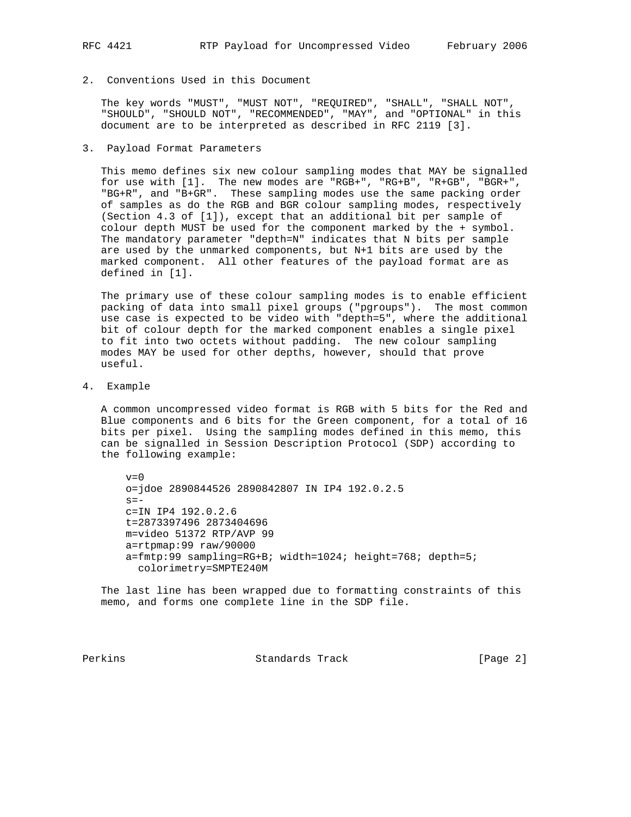# 2. Conventions Used in this Document

 The key words "MUST", "MUST NOT", "REQUIRED", "SHALL", "SHALL NOT", "SHOULD", "SHOULD NOT", "RECOMMENDED", "MAY", and "OPTIONAL" in this document are to be interpreted as described in RFC 2119 [3].

3. Payload Format Parameters

 This memo defines six new colour sampling modes that MAY be signalled for use with [1]. The new modes are "RGB+", "RG+B", "R+GB", "BGR+", "BG+R", and "B+GR". These sampling modes use the same packing order of samples as do the RGB and BGR colour sampling modes, respectively (Section 4.3 of [1]), except that an additional bit per sample of colour depth MUST be used for the component marked by the + symbol. The mandatory parameter "depth=N" indicates that N bits per sample are used by the unmarked components, but N+1 bits are used by the marked component. All other features of the payload format are as defined in [1].

 The primary use of these colour sampling modes is to enable efficient packing of data into small pixel groups ("pgroups"). The most common use case is expected to be video with "depth=5", where the additional bit of colour depth for the marked component enables a single pixel to fit into two octets without padding. The new colour sampling modes MAY be used for other depths, however, should that prove useful.

4. Example

 A common uncompressed video format is RGB with 5 bits for the Red and Blue components and 6 bits for the Green component, for a total of 16 bits per pixel. Using the sampling modes defined in this memo, this can be signalled in Session Description Protocol (SDP) according to the following example:

 $v=0$  o=jdoe 2890844526 2890842807 IN IP4 192.0.2.5  $s =$  c=IN IP4 192.0.2.6 t=2873397496 2873404696 m=video 51372 RTP/AVP 99 a=rtpmap:99 raw/90000 a=fmtp:99 sampling=RG+B; width=1024; height=768; depth=5; colorimetry=SMPTE240M

 The last line has been wrapped due to formatting constraints of this memo, and forms one complete line in the SDP file.

Perkins **Standards Track** [Page 2]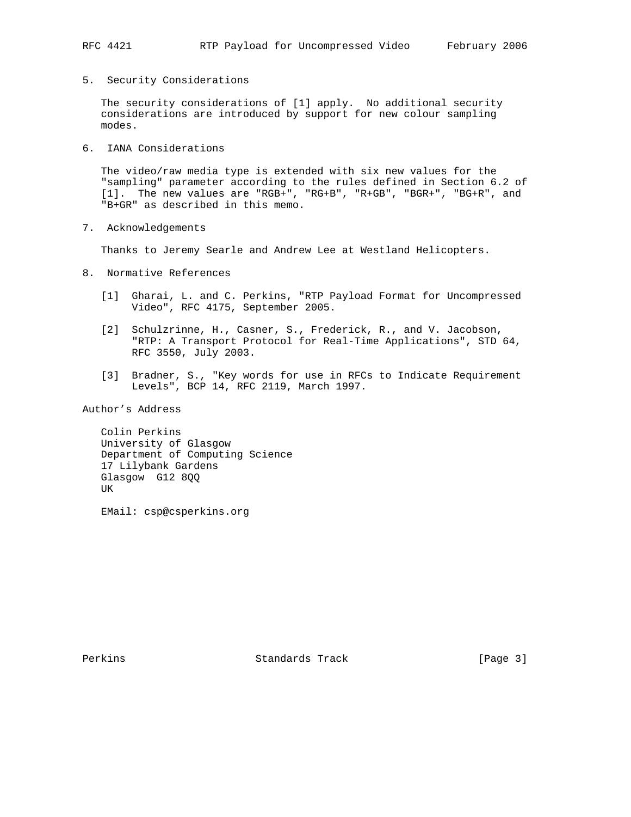5. Security Considerations

 The security considerations of [1] apply. No additional security considerations are introduced by support for new colour sampling modes.

6. IANA Considerations

 The video/raw media type is extended with six new values for the "sampling" parameter according to the rules defined in Section 6.2 of [1]. The new values are "RGB+", "RG+B", "R+GB", "BGR+", "BG+R", and "B+GR" as described in this memo.

7. Acknowledgements

Thanks to Jeremy Searle and Andrew Lee at Westland Helicopters.

- 8. Normative References
	- [1] Gharai, L. and C. Perkins, "RTP Payload Format for Uncompressed Video", RFC 4175, September 2005.
	- [2] Schulzrinne, H., Casner, S., Frederick, R., and V. Jacobson, "RTP: A Transport Protocol for Real-Time Applications", STD 64, RFC 3550, July 2003.
	- [3] Bradner, S., "Key words for use in RFCs to Indicate Requirement Levels", BCP 14, RFC 2119, March 1997.

Author's Address

 Colin Perkins University of Glasgow Department of Computing Science 17 Lilybank Gardens Glasgow G12 8QQ UK

EMail: csp@csperkins.org

Perkins **Example 2** Standards Track **Example 2** [Page 3]